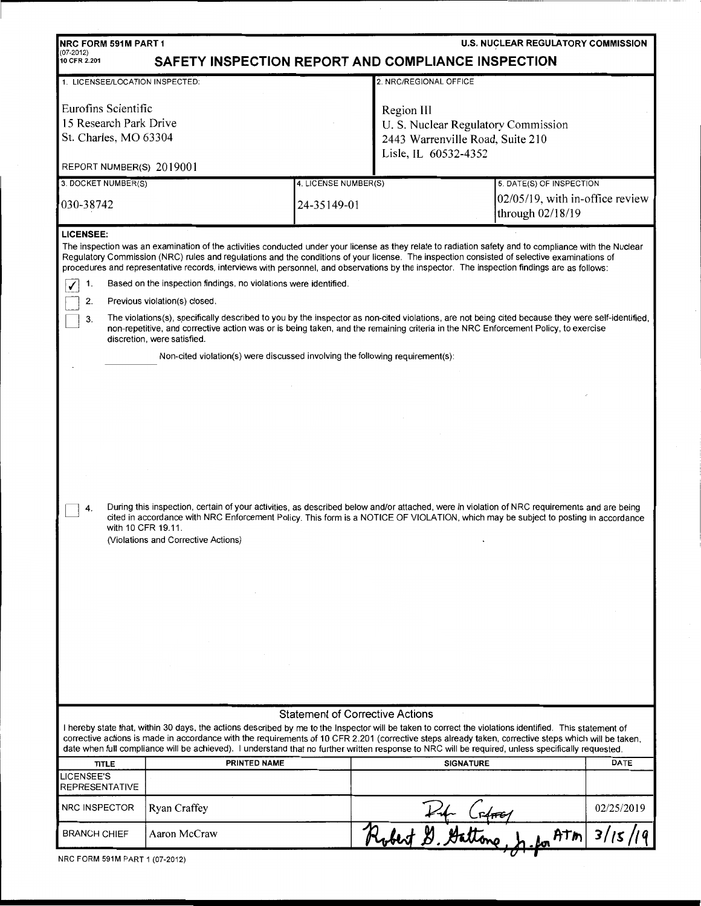| U.S. NUCLEAR REGULATORY COMMISSION<br><b>NRC FORM 591M PART 1</b><br>$(07-2012)$<br>SAFETY INSPECTION REPORT AND COMPLIANCE INSPECTION<br>10 CFR 2.201                                                                                                                                                                                                                                                                                                                                                                                                                                                                                                                                                                                                                                                                                                                                                                                                                                                                                                                                                                                                                                                                                                                                                                                                              |              |                      |                                                                                                               |                                                        |             |  |  |
|---------------------------------------------------------------------------------------------------------------------------------------------------------------------------------------------------------------------------------------------------------------------------------------------------------------------------------------------------------------------------------------------------------------------------------------------------------------------------------------------------------------------------------------------------------------------------------------------------------------------------------------------------------------------------------------------------------------------------------------------------------------------------------------------------------------------------------------------------------------------------------------------------------------------------------------------------------------------------------------------------------------------------------------------------------------------------------------------------------------------------------------------------------------------------------------------------------------------------------------------------------------------------------------------------------------------------------------------------------------------|--------------|----------------------|---------------------------------------------------------------------------------------------------------------|--------------------------------------------------------|-------------|--|--|
| 2. NRC/REGIONAL OFFICE<br>1. LICENSEE/LOCATION INSPECTED:                                                                                                                                                                                                                                                                                                                                                                                                                                                                                                                                                                                                                                                                                                                                                                                                                                                                                                                                                                                                                                                                                                                                                                                                                                                                                                           |              |                      |                                                                                                               |                                                        |             |  |  |
| Eurofins Scientific<br>15 Research Park Drive<br>St. Charles, MO 63304<br>REPORT NUMBER(S) 2019001                                                                                                                                                                                                                                                                                                                                                                                                                                                                                                                                                                                                                                                                                                                                                                                                                                                                                                                                                                                                                                                                                                                                                                                                                                                                  |              |                      | Region III<br>U. S. Nuclear Regulatory Commission<br>2443 Warrenville Road, Suite 210<br>Lisle, IL 60532-4352 |                                                        |             |  |  |
| 3. DOCKET NUMBER(S)                                                                                                                                                                                                                                                                                                                                                                                                                                                                                                                                                                                                                                                                                                                                                                                                                                                                                                                                                                                                                                                                                                                                                                                                                                                                                                                                                 |              | 4. LICENSE NUMBER(S) |                                                                                                               | 5. DATE(S) OF INSPECTION                               |             |  |  |
| 030-38742                                                                                                                                                                                                                                                                                                                                                                                                                                                                                                                                                                                                                                                                                                                                                                                                                                                                                                                                                                                                                                                                                                                                                                                                                                                                                                                                                           |              | 24-35149-01          |                                                                                                               | $02/05/19$ , with in-office review<br>through 02/18/19 |             |  |  |
| <b>LICENSEE:</b><br>The inspection was an examination of the activities conducted under your license as they relate to radiation safety and to compliance with the Nuclear<br>Regulatory Commission (NRC) rules and regulations and the conditions of your license. The inspection consisted of selective examinations of<br>procedures and representative records, interviews with personnel, and observations by the inspector. The inspection findings are as follows:<br>Based on the inspection findings, no violations were identified.<br>1.<br>2.<br>Previous violation(s) closed.<br>The violations(s), specifically described to you by the inspector as non-cited violations, are not being cited because they were self-identified,<br>3.<br>non-repetitive, and corrective action was or is being taken, and the remaining criteria in the NRC Enforcement Policy, to exercise<br>discretion, were satisfied.<br>Non-cited violation(s) were discussed involving the following requirement(s):<br>During this inspection, certain of your activities, as described below and/or attached, were in violation of NRC requirements and are being<br>4.<br>cited in accordance with NRC Enforcement Policy. This form is a NOTICE OF VIOLATION, which may be subject to posting in accordance<br>with 10 CFR 19.11.<br>(Violations and Corrective Actions) |              |                      |                                                                                                               |                                                        |             |  |  |
|                                                                                                                                                                                                                                                                                                                                                                                                                                                                                                                                                                                                                                                                                                                                                                                                                                                                                                                                                                                                                                                                                                                                                                                                                                                                                                                                                                     |              |                      |                                                                                                               |                                                        |             |  |  |
| <b>Statement of Corrective Actions</b><br>I hereby state that, within 30 days, the actions described by me to the Inspector will be taken to correct the violations identified. This statement of<br>corrective actions is made in accordance with the requirements of 10 CFR 2.201 (corrective steps already taken, corrective steps which will be taken,<br>date when full compliance will be achieved). I understand that no further written response to NRC will be required, unless specifically requested.                                                                                                                                                                                                                                                                                                                                                                                                                                                                                                                                                                                                                                                                                                                                                                                                                                                    |              |                      |                                                                                                               |                                                        |             |  |  |
| <b>TITLE</b>                                                                                                                                                                                                                                                                                                                                                                                                                                                                                                                                                                                                                                                                                                                                                                                                                                                                                                                                                                                                                                                                                                                                                                                                                                                                                                                                                        | PRINTED NAME |                      | <b>SIGNATURE</b>                                                                                              |                                                        | <b>DATE</b> |  |  |
| LICENSEE'S<br>REPRESENTATIVE                                                                                                                                                                                                                                                                                                                                                                                                                                                                                                                                                                                                                                                                                                                                                                                                                                                                                                                                                                                                                                                                                                                                                                                                                                                                                                                                        |              |                      |                                                                                                               |                                                        |             |  |  |
| NRC INSPECTOR                                                                                                                                                                                                                                                                                                                                                                                                                                                                                                                                                                                                                                                                                                                                                                                                                                                                                                                                                                                                                                                                                                                                                                                                                                                                                                                                                       | Ryan Craffey |                      |                                                                                                               |                                                        | 02/25/2019  |  |  |
| <b>BRANCH CHIEF</b>                                                                                                                                                                                                                                                                                                                                                                                                                                                                                                                                                                                                                                                                                                                                                                                                                                                                                                                                                                                                                                                                                                                                                                                                                                                                                                                                                 | Aaron McCraw |                      | Robert D. Gattons h                                                                                           | ATM                                                    | 3/15        |  |  |
|                                                                                                                                                                                                                                                                                                                                                                                                                                                                                                                                                                                                                                                                                                                                                                                                                                                                                                                                                                                                                                                                                                                                                                                                                                                                                                                                                                     |              |                      |                                                                                                               |                                                        |             |  |  |